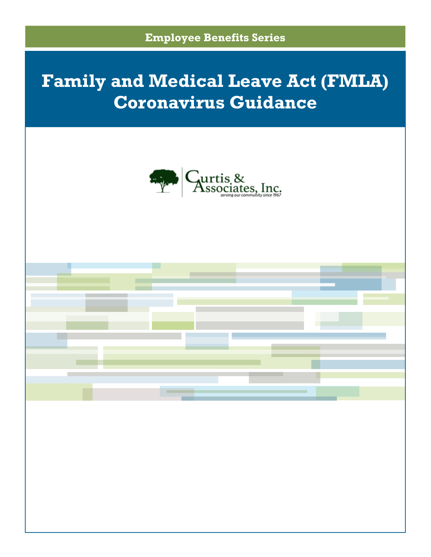

# **Family and Medical Leave Act (FMLA) Coronavirus Guidance**



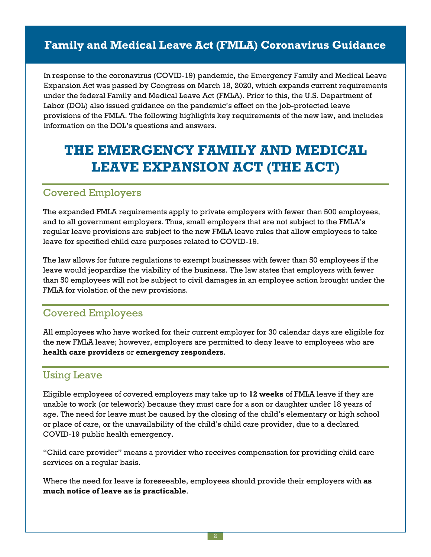## **Family and Medical Leave Act (FMLA) Coronavirus Guidance**

In response to the coronavirus (COVID-19) pandemic, the Emergency Family and Medical Leave Expansion Act was passed by Congress on March 18, 2020, which expands current requirements under the federal Family and Medical Leave Act (FMLA). Prior to this, the U.S. Department of Labor (DOL) also issued guidance on the pandemic's effect on the job-protected leave provisions of the FMLA. The following highlights key requirements of the new law, and includes information on the DOL's questions and answers.

# **THE EMERGENCY FAMILY AND MEDICAL LEAVE EXPANSION ACT (THE ACT)**

## Covered Employers

The expanded FMLA requirements apply to private employers with fewer than 500 employees, and to all government employers. Thus, small employers that are not subject to the FMLA's regular leave provisions are subject to the new FMLA leave rules that allow employees to take leave for specified child care purposes related to COVID-19.

The law allows for future regulations to exempt businesses with fewer than 50 employees if the leave would jeopardize the viability of the business. The law states that employers with fewer than 50 employees will not be subject to civil damages in an employee action brought under the FMLA for violation of the new provisions.

## Covered Employees

All employees who have worked for their current employer for 30 calendar days are eligible for the new FMLA leave; however, employers are permitted to deny leave to employees who are **health care providers** or **emergency responders**.

## Using Leave

Eligible employees of covered employers may take up to **12 weeks** of FMLA leave if they are unable to work (or telework) because they must care for a son or daughter under 18 years of age. The need for leave must be caused by the closing of the child's elementary or high school or place of care, or the unavailability of the child's child care provider, due to a declared COVID-19 public health emergency.

"Child care provider" means a provider who receives compensation for providing child care services on a regular basis.

Where the need for leave is foreseeable, employees should provide their employers with **as much notice of leave as is practicable**.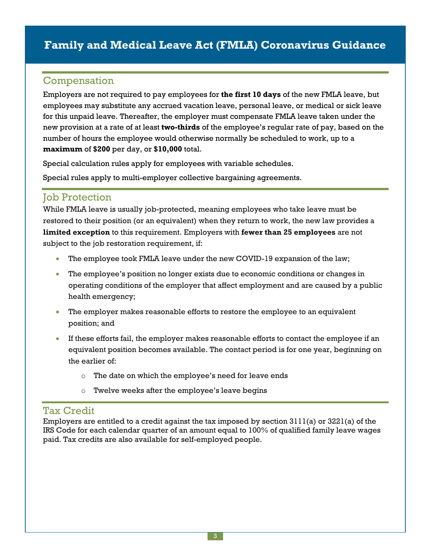## **Family and Medical Leave Act (FMLA) Coronavirus Guidance**

## Compensation

Employers are not required to pay employees for **the first 10 days** of the new FMLA leave, but employees may substitute any accrued vacation leave, personal leave, or medical or sick leave for this unpaid leave. Thereafter, the employer must compensate FMLA leave taken under the new provision at a rate of at least **two-thirds** of the employee's regular rate of pay, based on the number of hours the employee would otherwise normally be scheduled to work, up to a **maximum** of **\$200** per day, or **\$10,000** total.

Special calculation rules apply for employees with variable schedules.

Special rules apply to multi-employer collective bargaining agreements.

### **Job Protection**

While FMLA leave is usually job-protected, meaning employees who take leave must be restored to their position (or an equivalent) when they return to work, the new law provides a **limited exception** to this requirement. Employers with **fewer than 25 employees** are not subject to the job restoration requirement, if:

- The employee took FMLA leave under the new COVID-19 expansion of the law;
- The employee's position no longer exists due to economic conditions or changes in operating conditions of the employer that affect employment and are caused by a public health emergency;
- The employer makes reasonable efforts to restore the employee to an equivalent position; and
- If these efforts fail, the employer makes reasonable efforts to contact the employee if an equivalent position becomes available. The contact period is for one year, beginning on the earlier of:
	- o The date on which the employee's need for leave ends
	- o Twelve weeks after the employee's leave begins

#### Tax Credit

Employers are entitled to a credit against the tax imposed by section 3111(a) or 3221(a) of the IRS Code for each calendar quarter of an amount equal to 100% of qualified family leave wages paid. Tax credits are also available for self-employed people.